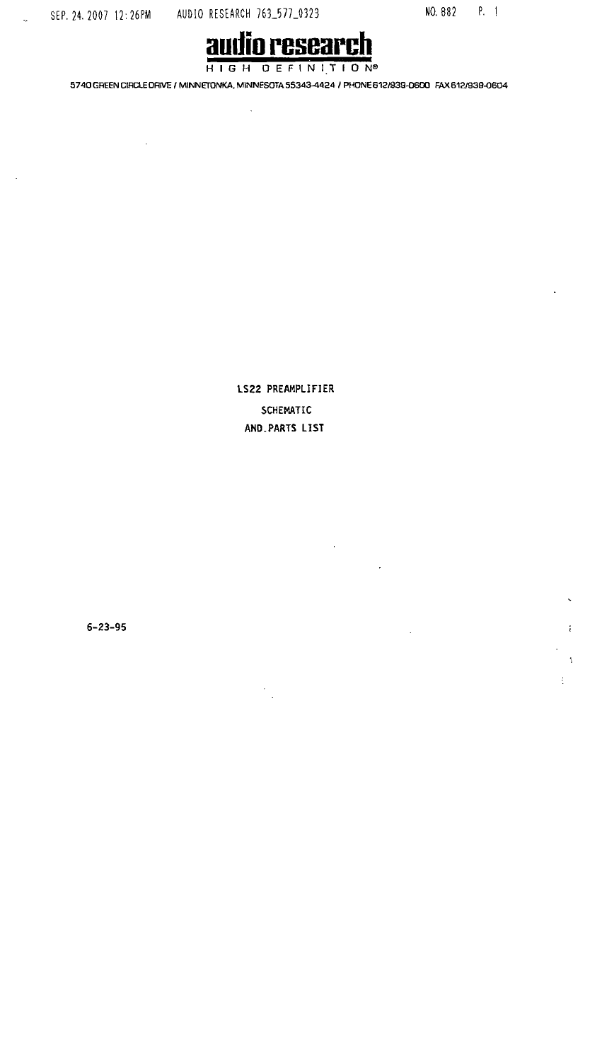SEP. 24. 2007 12:26PM AUDIO RESEARCH 763\_577\_0323

 $\ddot{\phantom{a}}$ 

NO. 882 P. 1

÷

 $\ddot{\ddot{z}}$ 

 $\ddot{z}$ 



5740 GREEN CIRCLE DRIVE / MINNETONKA, MINNESOTA 55343-4424 / PHONE 612/939-0600 FAX 612/939-0604

LS22 PREAMPLIFIER SCHEMATIC AND. PARTS LIST

 $6 - 23 - 95$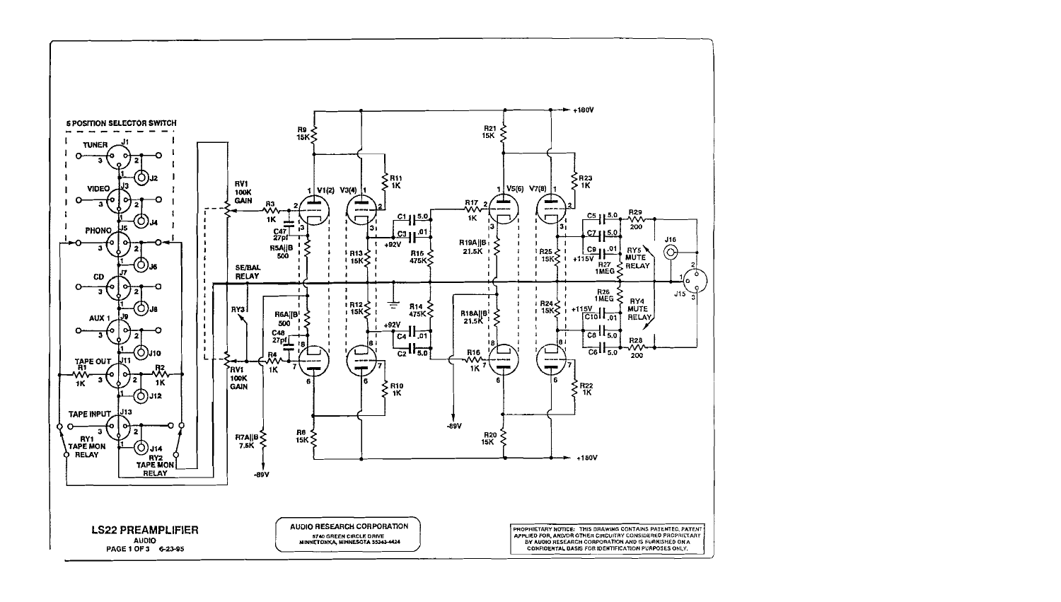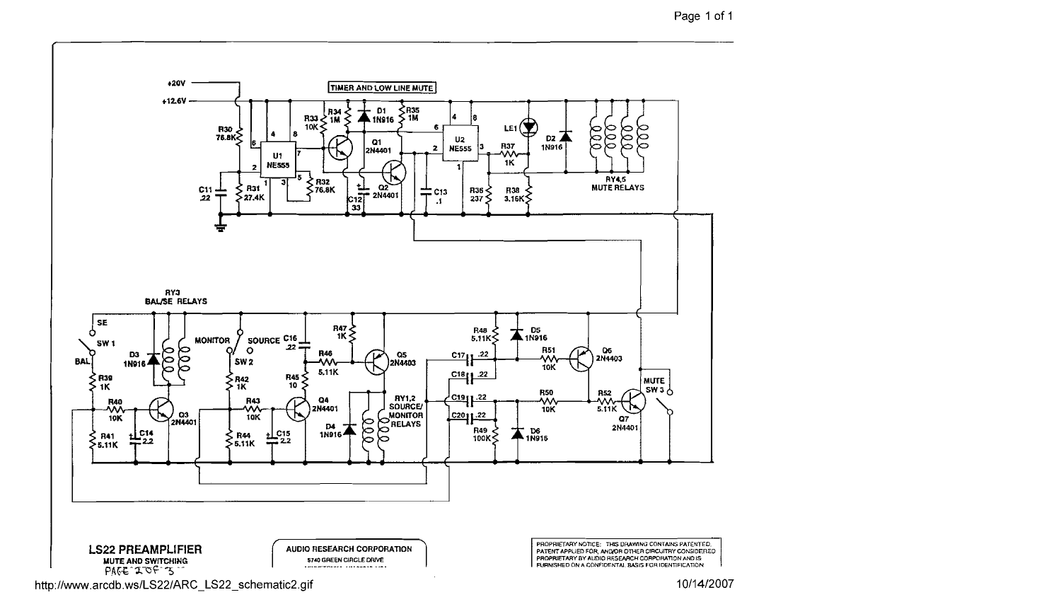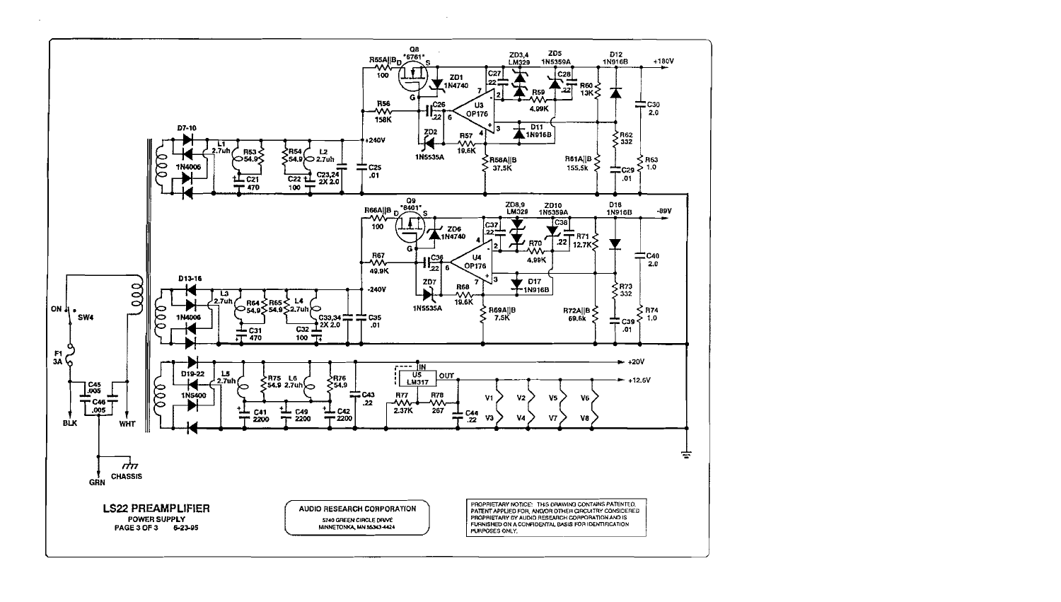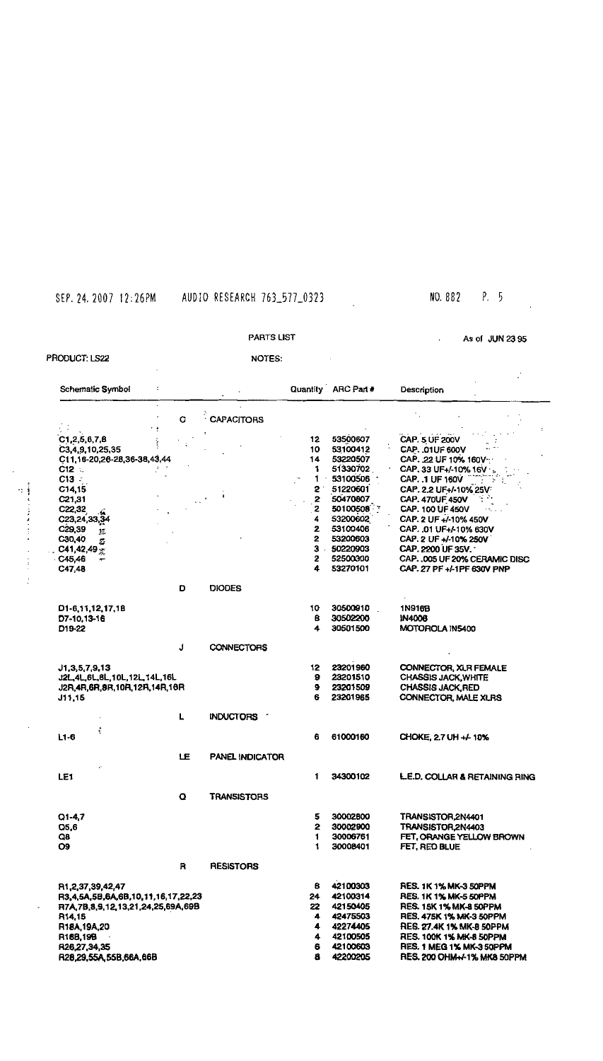## SEP. 24. 2007 12:26PM AUDIO RESEARCH 763\_577\_0323

## NO. 882 P. 5

 $\Delta \phi$ 

### PARTS LIST

 $\sim 10$ 

As of JUN 23 95

#### PRODUCT: LS22

Ξj

医异体医学 医心包

 $\frac{1}{2}$ ÷

### NOTES:

| <b>Schematic Symbol</b><br>÷.                                    |    |                        |              | Quantity ARC Part #  | Description                                    |
|------------------------------------------------------------------|----|------------------------|--------------|----------------------|------------------------------------------------|
| $\mathcal{L}$                                                    | G  | <b>CAPACITORS</b>      |              |                      |                                                |
| C1, 2, 5, 6, 7, 8                                                |    |                        | 12<br>10     | 53500607<br>53100412 | CAP. 5 UF 200V                                 |
| C <sub>3</sub> , 4, 9, 10, 25, 35<br>C11,16-20,26-28,36-38,43,44 |    |                        | 14           | 53220507             | <b>CAP. . 01UF 600V</b><br>CAP. 22 UF 10% 160V |
| C12 .                                                            |    |                        | 1            | 51330702             | CAP. 33 UF+/-10% 16V                           |
| $C13 =$                                                          |    |                        | 1.           | 53100506             | CAP. 1 UF 160V                                 |
| C14,15                                                           |    |                        | 2            | 51220601             | CAP. 2.2 UF+/-10% 25V                          |
| C21,31                                                           |    |                        | 2            | 50470807             | <b>CAP. 470UF 450V</b>                         |
| C22,32                                                           |    |                        | $\mathbf{z}$ | 50100508             | CAP. 100 UF 450V                               |
| C23,24,33,34                                                     |    |                        | 4            | 53200602             | CAP. 2 UF +/-10% 450V                          |
| C <sub>29,39</sub><br>尨                                          |    |                        | 2            | 53100406             | CAP. 01 UF+/-10% 630V                          |
| C30,40<br>Ż.                                                     |    |                        | $\mathbf{z}$ | 53200603             | CAP. 2 UF +/-10% 250V                          |
| $C41,42,49$ $\simeq$                                             |    |                        | $3 -$        | 50220903             | CAP. 2200 UF 35V.                              |
| C45,46                                                           |    |                        | 2            | 52500300             | CAP. . 005 UF 20% CERAMIC DISC                 |
| C47,48                                                           |    |                        | 4            | 53270101             | CAP. 27 PF +/-1PF 630V PNP                     |
|                                                                  | D  | <b>DIODES</b>          |              |                      |                                                |
| D1-6,11,12,17,18                                                 |    |                        | 10           | 30500910             | 1N916B                                         |
| D7-10, 13-16                                                     |    |                        | в            | 30502200             | <b>IN4006</b>                                  |
| D19-22                                                           |    |                        | 4            | 30501500             | MOTOROLA IN5400                                |
|                                                                  | J  | <b>CONNECTORS</b>      |              |                      |                                                |
| J1,3,5,7,9,13                                                    |    |                        | 12.          | 23201960             | <b>CONNECTOR, XLR FEMALE</b>                   |
| J2L, 4L, 6L, 8L, 10L, 12L, 14L, 16L                              |    |                        | 9            | 23201510             | <b>CHASSIS JACK, WHITE</b>                     |
| J2R,4R,6R,8R,10R,12R,14R,16R                                     |    |                        | 9            | 23201509             | <b>CHASSIS JACK, RED</b>                       |
| J11,15                                                           |    |                        | 6            | 23201965             | CONNECTOR, MALE XLRS                           |
|                                                                  | L  | <b>INDUCTORS</b>       |              |                      |                                                |
| ÷<br>$L1-6$                                                      |    |                        | 6            | 61000160             | CHOKE, 2.7 UH +/- 10%                          |
|                                                                  | LE | <b>PANEL INDICATOR</b> |              |                      |                                                |
| LE1                                                              |    |                        | 1            | 34300102             | <b>L.E.D. COLLAR &amp; RETAINING RING</b>      |
|                                                                  | Q  | TRANSISTORS            |              |                      |                                                |
|                                                                  |    |                        |              |                      |                                                |
| $Q1-4,7$                                                         |    |                        | 5            | 30002800             | TRANSISTOR.2N4401                              |
| Q5,6                                                             |    |                        | 2            | 30002900             | TRANSISTOR, 2N4403                             |
| Q8                                                               |    |                        | 1            | 30006761             | FET, ORANGE YELLOW BROWN                       |
| O <sub>9</sub>                                                   |    |                        | 1            | 30008401             | FET, RED BLUE                                  |
|                                                                  | R. | <b>RESISTORS</b>       |              |                      |                                                |
| R1,2,37,39,42,47                                                 |    |                        | 8            | 42100303             | <b>RES. 1K 1% MK-3 50PPM</b>                   |
| R3,4,5A,5B,6A,6B,10,11,16,17,22,23                               |    |                        | 24.          | 42100314             | <b>RES. 1K 1% MK-5 50PPM</b>                   |
| R7A, 7B, 8, 9, 12, 13, 21, 24, 25, 69A, 69B                      |    |                        | 22.          | 42150405             | <b>RES. 15K 1% MK-8 50PPM</b>                  |
| R <sub>14.15</sub>                                               |    |                        | 4            | 42475503             | <b>RES, 475K 1% MK-3 50PPM</b>                 |
| R <sub>18</sub> A <sub>,19</sub> A <sub>,20</sub>                |    |                        | 4            | 42274405             | RES. 27.4K 1% MK-8 50PPM                       |
| R188,198                                                         |    |                        | 4            | 42100505             | <b>RES. 100K 1% MK-8 50PPM</b>                 |
| R26,27,34,35                                                     |    |                        | 6            | 42100603             | <b>RES. 1 MEG 1% MK-3 50PPM</b>                |
| R28,29,55A,55B,66A,66B                                           |    |                        | 8            | 42200205             | RES. 200 OHM + 1% MK8 50PPM                    |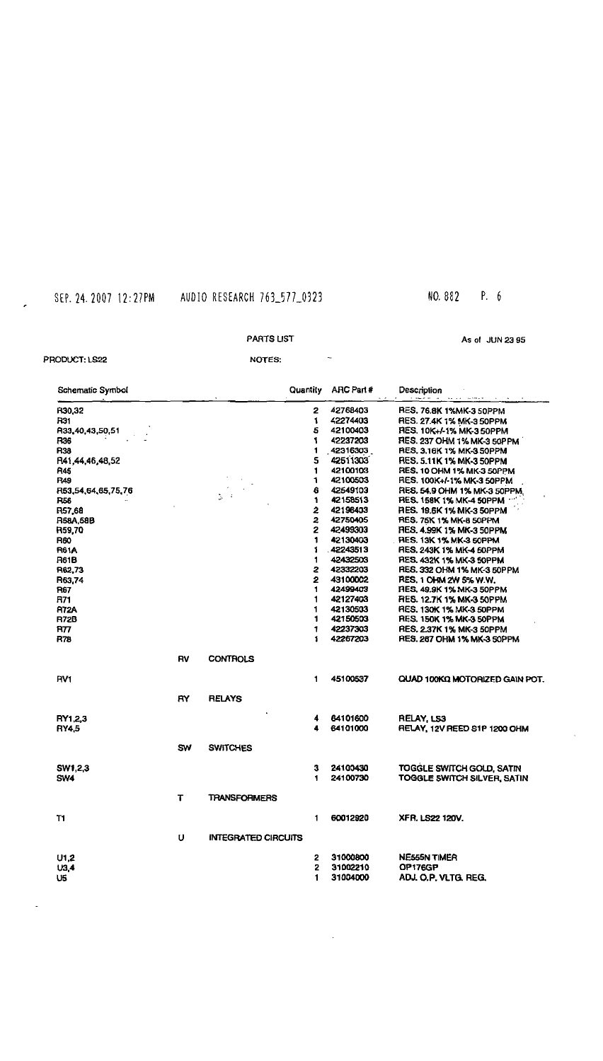# NO. B82 P. 6

#### PARTS UST

As 01 JUN 23 55

#### PRODUCT: LS22

 $\sim$ 

NOTES:

 $\sim$ 

| Schematic Symbol   |           |                              | Quantity | ARC Part # | Description                     |
|--------------------|-----------|------------------------------|----------|------------|---------------------------------|
| R30.32             |           |                              | 2        | 42768403   | <b>RES. 76.8K 1%MK-3 50PPM</b>  |
| R31                |           |                              | 1        | 42274403   | RES. 27.4K 1% MK-3 50PPM        |
| R33,40,43,50,51    |           |                              | 5        | 42100403   | RES. 10K+/-1% MK-350PPM         |
| R36                |           |                              | 1        | 42237203   | RES. 237 OHM 1% MK-3 50PPM      |
| R38                |           |                              | 1        | 42316303   | RES. 3.16K 1% MK-3 50PPM        |
| R41,44,46,48,52    |           |                              | 5        | 42511303   | RES. 5.11K 1% MK-3 50PPM        |
| R45                |           |                              | 1        | 42100103   | RES. 10 OHM 1% MK-3 50PPM       |
| <b>R49</b>         |           |                              | 1        | 42100503   | RES. 100K+/-1% MK-3 50PPM       |
| R53,54,64,65,75,76 |           |                              | 6        | 42549103   | RES. 54.9 OHM 1% MK-3 50PPM     |
| <b>R56</b>         |           | $\mathcal{Z}_\mathrm{c} = 4$ | 1        | 42158513   | RES. 158K 1% MK-4 50PPM         |
| R57,68             |           |                              | 2        | 42196403   | RES. 19.6K 1% MK-3 50PPM        |
| R58A.58B           |           |                              | 2        | 42750405   | <b>RES. 75K 1% MK-8 50PPM</b>   |
| <b>R59.70</b>      |           |                              | 2        | 42499303   | <b>RES, 4.99K 1% MK-3 50PPM</b> |
| R60                |           |                              | 1        | 42130403   | <b>RES. 13K 1% MK-3 50PPM</b>   |
| <b>R61A</b>        |           |                              | 1        | 42243513   | RES. 243K 1% MK-4 50PPM         |
| <b>R61B</b>        |           |                              | 1        | 42432503   | RES. 432K 1% MK-3 50PPM         |
| R62,73             |           |                              | 2        | 42332203   | RES, 332 OHM 1% MK-3 50PPM      |
| R63.74             |           |                              | 2        | 43100002   | RES. 1 OHM 2W 5% W.W.           |
| R67                |           |                              | 1        | 42499403   | FIES, 49.9K 1% MK-3 50PPM       |
| R71                |           |                              | 1        | 42127403   | <b>RES. 12.7K 1% MK-3 50PPM</b> |
| <b>R72A</b>        |           |                              | 1        | 42130503   | RES. 130K 1% MK-3 50PPM         |
| R72B               |           |                              | 1        | 42150503   | <b>RES. 150K 1% MK-3 50PPM</b>  |
| R77                |           |                              | 1        | 42237303   | <b>RES, 2.37K 1% MK-3 50PPM</b> |
| R78                |           |                              | 1        | 42267203   | RES. 267 OHM 1% MK-3 50PPM      |
|                    | <b>RV</b> | <b>CONTROLS</b>              |          |            |                                 |
| HV <sub>1</sub>    |           |                              | 1        | 45100537   | QUAD 100KQ MOTORIZED GAIN POT.  |
|                    | R۲.       | <b>RELAYS</b>                |          |            |                                 |
| RY1.2.3            |           |                              | 4        | 64101600   | RELAY, LS3                      |
| RY4.5              |           |                              | 4        | 64101000   | RELAY, 12V REED S1P 1200 OHM    |
|                    | <b>SW</b> | <b>SWITCHES</b>              |          |            |                                 |
|                    |           |                              | 3        |            |                                 |
| SW1,2,3            |           |                              |          | 24100430   | TOGGLE SWITCH GOLD, SATIN       |
| <b>SW4</b>         |           |                              | 1        | 24100730   | TOGGLE SWITCH SILVER, SATIN     |
|                    | т         | <b>TRANSFORIMERS</b>         |          |            |                                 |
| T1                 |           |                              | 1        | 60012920   | XFR. LS22 120V.                 |
|                    | U         | <b>INTEGRATED CIRCUITS</b>   |          |            |                                 |
|                    |           |                              | 2        | 31000800   | <b>NE555N TIMER</b>             |
| U1,2               |           |                              | 2        | 31002210   | OP176GP                         |
| U3.4               |           |                              | 1        | 31004000   |                                 |
| U5                 |           |                              |          |            | ADJ. O.P. VLTG. REG.            |

 $\langle \cdot \rangle$